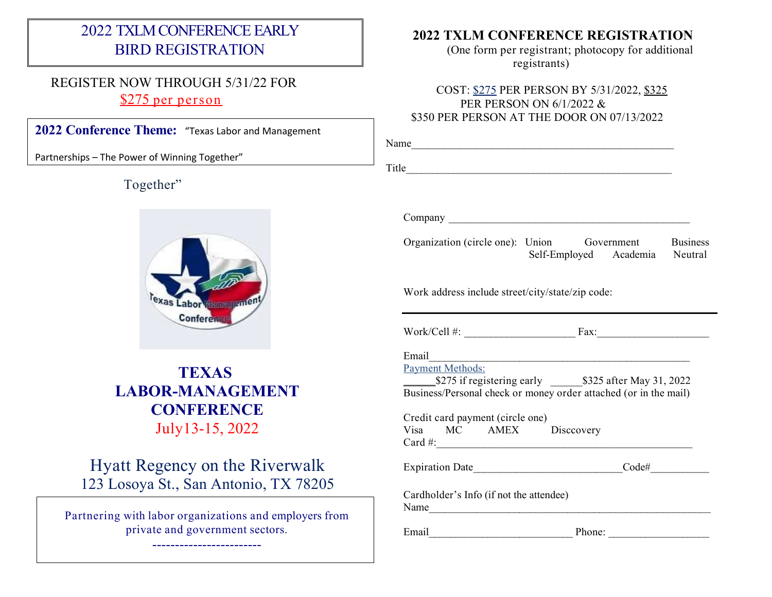## 2022 TXLMCONFERENCE EARLY BIRD REGISTRATION

### REGISTER NOW THROUGH 5/31/22 FOR \$275 per person

**2022 Conference Theme:** "Texas Labor and Management

Partnerships – The Power of Winning Together"

Together"



# **TEXAS LABOR-MANAGEMENT CONFERENCE** July13-15, 2022

# Hyatt Regency on the Riverwalk 123 Losoya St., San Antonio, TX 78205

Partnering with labor organizations and employers from private and government sectors.

------------------------

#### **2022 TXLM CONFERENCE REGISTRATION**

(One form per registrant; photocopy for additional registrants)

#### COST: \$275 PER PERSON BY 5/31/2022, \$325 PER PERSON ON 6/1/2022 & \$350 PER PERSON AT THE DOOR ON 07/13/2022

|                                                            | Name <sub>n</sub>                                                                                                     |          |  |
|------------------------------------------------------------|-----------------------------------------------------------------------------------------------------------------------|----------|--|
|                                                            | Title                                                                                                                 |          |  |
|                                                            |                                                                                                                       |          |  |
|                                                            |                                                                                                                       |          |  |
|                                                            | Organization (circle one): Union Government Business<br>Self-Employed Academia Neutral                                |          |  |
| Work address include street/city/state/zip code:           |                                                                                                                       |          |  |
|                                                            |                                                                                                                       |          |  |
| Email                                                      | <u> 1989 - Johann Stein, marwolaethau a bhann an t-Amhair an t-Amhair an t-Amhair an t-Amhair an t-Amhair an t-A</u>  |          |  |
| <b>Payment Methods:</b>                                    | S275 if registering early 5325 after May 31, 2022<br>Business/Personal check or money order attached (or in the mail) |          |  |
| Credit card payment (circle one)<br>Visa MC AMEX Discovery |                                                                                                                       |          |  |
|                                                            |                                                                                                                       | $Code\#$ |  |
| Cardholder's Info (if not the attendee)<br>Name            |                                                                                                                       |          |  |
|                                                            |                                                                                                                       |          |  |